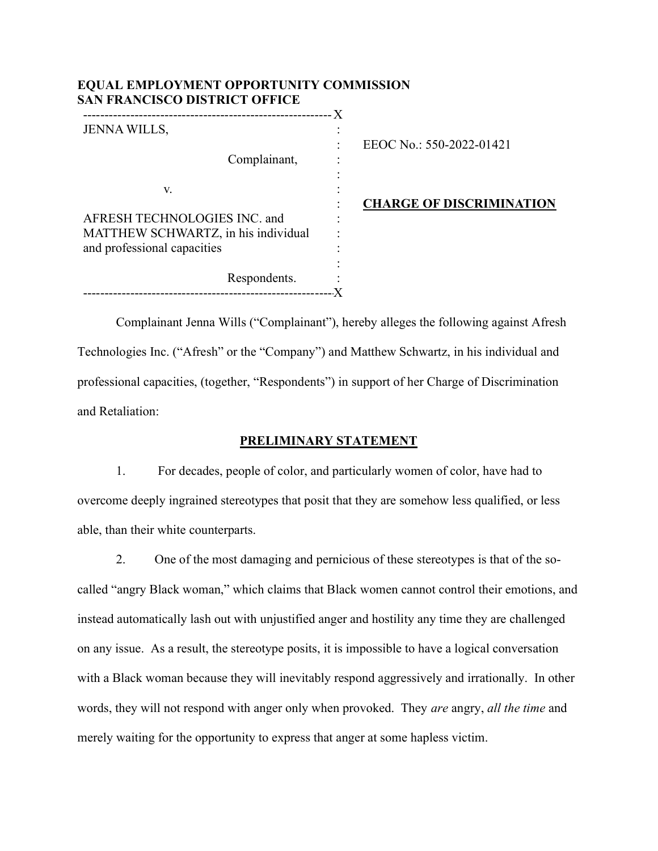| <b>SAN FRANCISCO DISTRICT OFFICE</b> |   |                                 |
|--------------------------------------|---|---------------------------------|
| <b>JENNA WILLS,</b>                  |   |                                 |
|                                      | ٠ | EEOC No.: 550-2022-01421        |
| Complainant,                         |   |                                 |
|                                      |   |                                 |
| V.                                   |   |                                 |
|                                      |   | <b>CHARGE OF DISCRIMINATION</b> |
| AFRESH TECHNOLOGIES INC. and         |   |                                 |
| MATTHEW SCHWARTZ, in his individual  |   |                                 |
| and professional capacities          |   |                                 |
|                                      |   |                                 |
| Respondents.                         |   |                                 |
|                                      |   |                                 |

EQUAL EMPLOYMENT OPPORTUNITY COMMISSION

Complainant Jenna Wills ("Complainant"), hereby alleges the following against Afresh Technologies Inc. ("Afresh" or the "Company") and Matthew Schwartz, in his individual and professional capacities, (together, "Respondents") in support of her Charge of Discrimination and Retaliation:

### PRELIMINARY STATEMENT

1. For decades, people of color, and particularly women of color, have had to overcome deeply ingrained stereotypes that posit that they are somehow less qualified, or less able, than their white counterparts.

2. One of the most damaging and pernicious of these stereotypes is that of the socalled "angry Black woman," which claims that Black women cannot control their emotions, and instead automatically lash out with unjustified anger and hostility any time they are challenged on any issue. As a result, the stereotype posits, it is impossible to have a logical conversation with a Black woman because they will inevitably respond aggressively and irrationally. In other words, they will not respond with anger only when provoked. They are angry, all the time and merely waiting for the opportunity to express that anger at some hapless victim.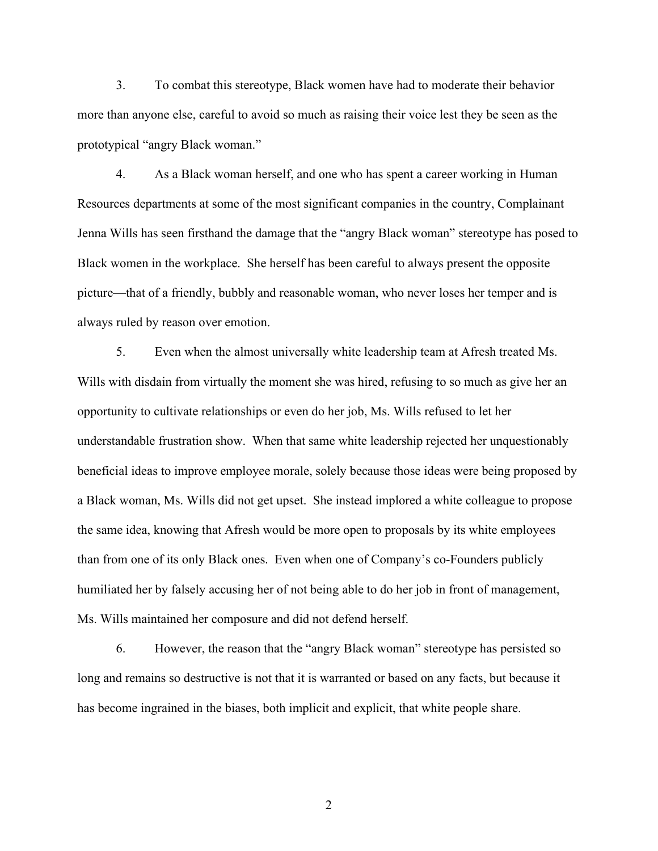3. To combat this stereotype, Black women have had to moderate their behavior more than anyone else, careful to avoid so much as raising their voice lest they be seen as the prototypical "angry Black woman."

4. As a Black woman herself, and one who has spent a career working in Human Resources departments at some of the most significant companies in the country, Complainant Jenna Wills has seen firsthand the damage that the "angry Black woman" stereotype has posed to Black women in the workplace. She herself has been careful to always present the opposite picture—that of a friendly, bubbly and reasonable woman, who never loses her temper and is always ruled by reason over emotion.

5. Even when the almost universally white leadership team at Afresh treated Ms. Wills with disdain from virtually the moment she was hired, refusing to so much as give her an opportunity to cultivate relationships or even do her job, Ms. Wills refused to let her understandable frustration show. When that same white leadership rejected her unquestionably beneficial ideas to improve employee morale, solely because those ideas were being proposed by a Black woman, Ms. Wills did not get upset. She instead implored a white colleague to propose the same idea, knowing that Afresh would be more open to proposals by its white employees than from one of its only Black ones. Even when one of Company's co-Founders publicly humiliated her by falsely accusing her of not being able to do her job in front of management, Ms. Wills maintained her composure and did not defend herself.

6. However, the reason that the "angry Black woman" stereotype has persisted so long and remains so destructive is not that it is warranted or based on any facts, but because it has become ingrained in the biases, both implicit and explicit, that white people share.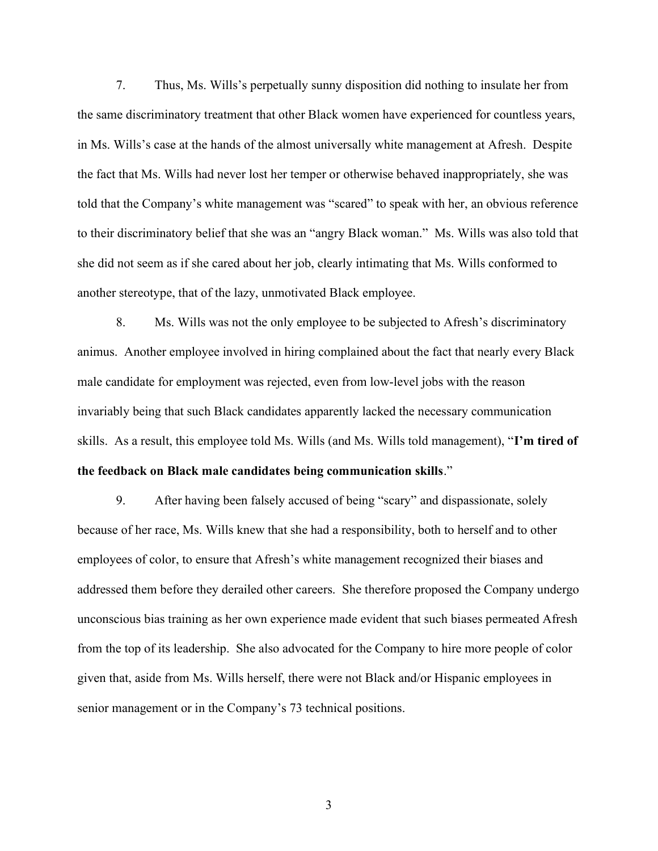7. Thus, Ms. Wills's perpetually sunny disposition did nothing to insulate her from the same discriminatory treatment that other Black women have experienced for countless years, in Ms. Wills's case at the hands of the almost universally white management at Afresh. Despite the fact that Ms. Wills had never lost her temper or otherwise behaved inappropriately, she was told that the Company's white management was "scared" to speak with her, an obvious reference to their discriminatory belief that she was an "angry Black woman." Ms. Wills was also told that she did not seem as if she cared about her job, clearly intimating that Ms. Wills conformed to another stereotype, that of the lazy, unmotivated Black employee.

8. Ms. Wills was not the only employee to be subjected to Afresh's discriminatory animus. Another employee involved in hiring complained about the fact that nearly every Black male candidate for employment was rejected, even from low-level jobs with the reason invariably being that such Black candidates apparently lacked the necessary communication skills. As a result, this employee told Ms. Wills (and Ms. Wills told management), "I'm tired of the feedback on Black male candidates being communication skills."

9. After having been falsely accused of being "scary" and dispassionate, solely because of her race, Ms. Wills knew that she had a responsibility, both to herself and to other employees of color, to ensure that Afresh's white management recognized their biases and addressed them before they derailed other careers. She therefore proposed the Company undergo unconscious bias training as her own experience made evident that such biases permeated Afresh from the top of its leadership. She also advocated for the Company to hire more people of color given that, aside from Ms. Wills herself, there were not Black and/or Hispanic employees in senior management or in the Company's 73 technical positions.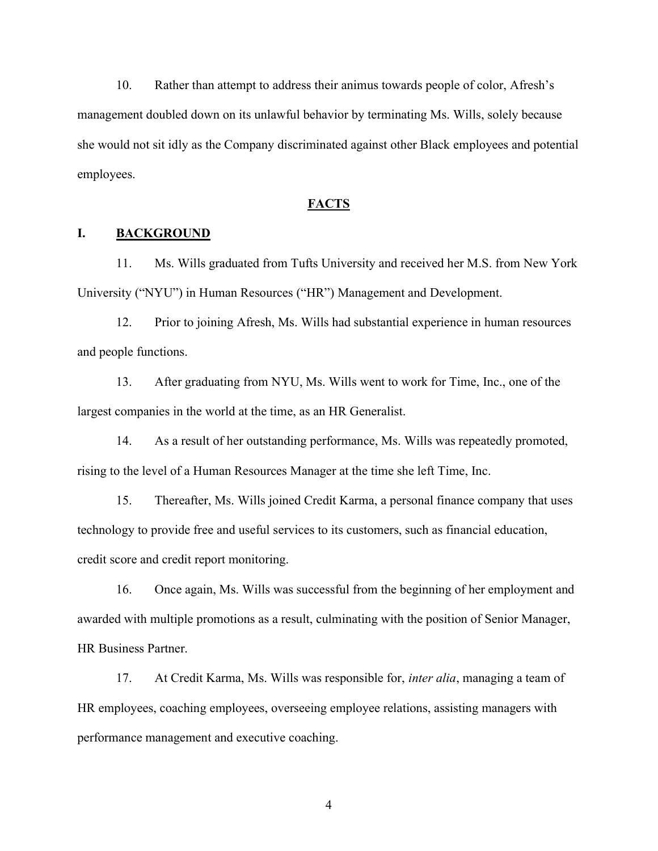10. Rather than attempt to address their animus towards people of color, Afresh's management doubled down on its unlawful behavior by terminating Ms. Wills, solely because she would not sit idly as the Company discriminated against other Black employees and potential employees.

#### **FACTS**

### I. BACKGROUND

11. Ms. Wills graduated from Tufts University and received her M.S. from New York University ("NYU") in Human Resources ("HR") Management and Development.

12. Prior to joining Afresh, Ms. Wills had substantial experience in human resources and people functions.

13. After graduating from NYU, Ms. Wills went to work for Time, Inc., one of the largest companies in the world at the time, as an HR Generalist.

14. As a result of her outstanding performance, Ms. Wills was repeatedly promoted, rising to the level of a Human Resources Manager at the time she left Time, Inc.

15. Thereafter, Ms. Wills joined Credit Karma, a personal finance company that uses technology to provide free and useful services to its customers, such as financial education, credit score and credit report monitoring.

16. Once again, Ms. Wills was successful from the beginning of her employment and awarded with multiple promotions as a result, culminating with the position of Senior Manager, HR Business Partner.

17. At Credit Karma, Ms. Wills was responsible for, *inter alia*, managing a team of HR employees, coaching employees, overseeing employee relations, assisting managers with performance management and executive coaching.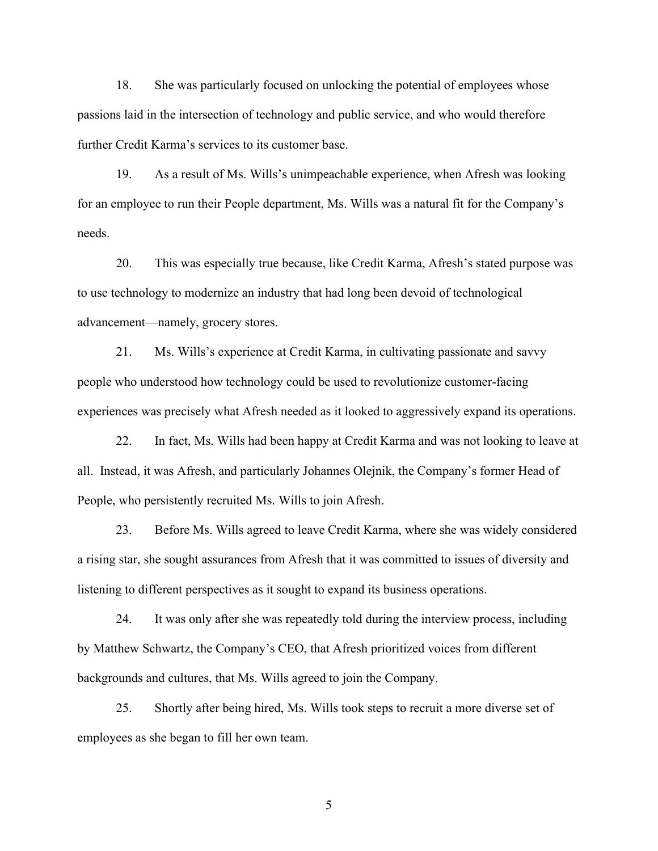18. She was particularly focused on unlocking the potential of employees whose passions laid in the intersection of technology and public service, and who would therefore further Credit Karma's services to its customer base.

19. As a result of Ms. Wills's unimpeachable experience, when Afresh was looking for an employee to run their People department, Ms. Wills was a natural fit for the Company's needs.

20. This was especially true because, like Credit Karma, Afresh's stated purpose was to use technology to modernize an industry that had long been devoid of technological advancement—namely, grocery stores.

21. Ms. Wills's experience at Credit Karma, in cultivating passionate and savvy people who understood how technology could be used to revolutionize customer-facing experiences was precisely what Afresh needed as it looked to aggressively expand its operations.

22. In fact, Ms. Wills had been happy at Credit Karma and was not looking to leave at all. Instead, it was Afresh, and particularly Johannes Olejnik, the Company's former Head of People, who persistently recruited Ms. Wills to join Afresh.

23. Before Ms. Wills agreed to leave Credit Karma, where she was widely considered a rising star, she sought assurances from Afresh that it was committed to issues of diversity and listening to different perspectives as it sought to expand its business operations.

24. It was only after she was repeatedly told during the interview process, including by Matthew Schwartz, the Company's CEO, that Afresh prioritized voices from different backgrounds and cultures, that Ms. Wills agreed to join the Company.

25. Shortly after being hired, Ms. Wills took steps to recruit a more diverse set of employees as she began to fill her own team.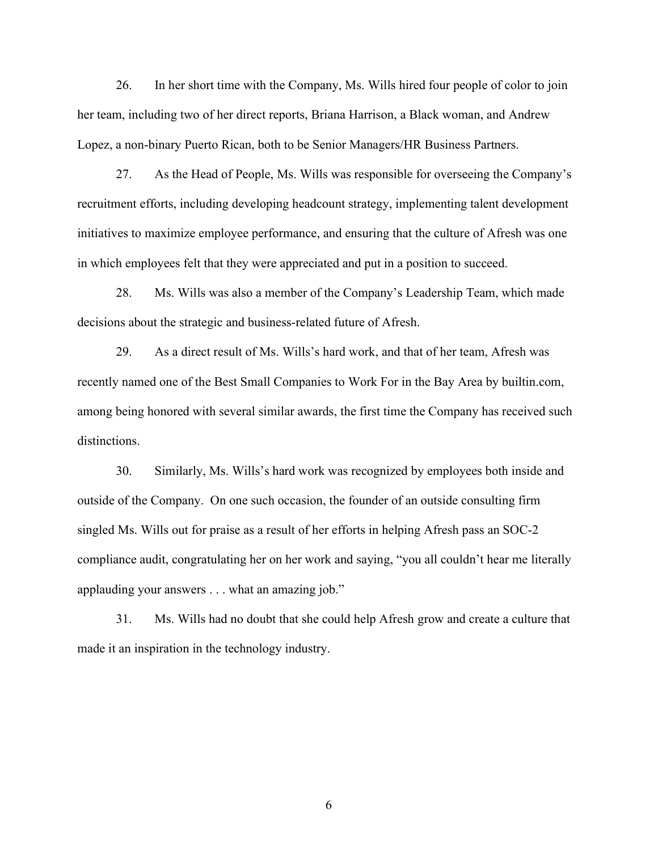26. In her short time with the Company, Ms. Wills hired four people of color to join her team, including two of her direct reports, Briana Harrison, a Black woman, and Andrew Lopez, a non-binary Puerto Rican, both to be Senior Managers/HR Business Partners.

27. As the Head of People, Ms. Wills was responsible for overseeing the Company's recruitment efforts, including developing headcount strategy, implementing talent development initiatives to maximize employee performance, and ensuring that the culture of Afresh was one in which employees felt that they were appreciated and put in a position to succeed.

28. Ms. Wills was also a member of the Company's Leadership Team, which made decisions about the strategic and business-related future of Afresh.

29. As a direct result of Ms. Wills's hard work, and that of her team, Afresh was recently named one of the Best Small Companies to Work For in the Bay Area by builtin.com, among being honored with several similar awards, the first time the Company has received such distinctions.

30. Similarly, Ms. Wills's hard work was recognized by employees both inside and outside of the Company. On one such occasion, the founder of an outside consulting firm singled Ms. Wills out for praise as a result of her efforts in helping Afresh pass an SOC-2 compliance audit, congratulating her on her work and saying, "you all couldn't hear me literally applauding your answers . . . what an amazing job."

31. Ms. Wills had no doubt that she could help Afresh grow and create a culture that made it an inspiration in the technology industry.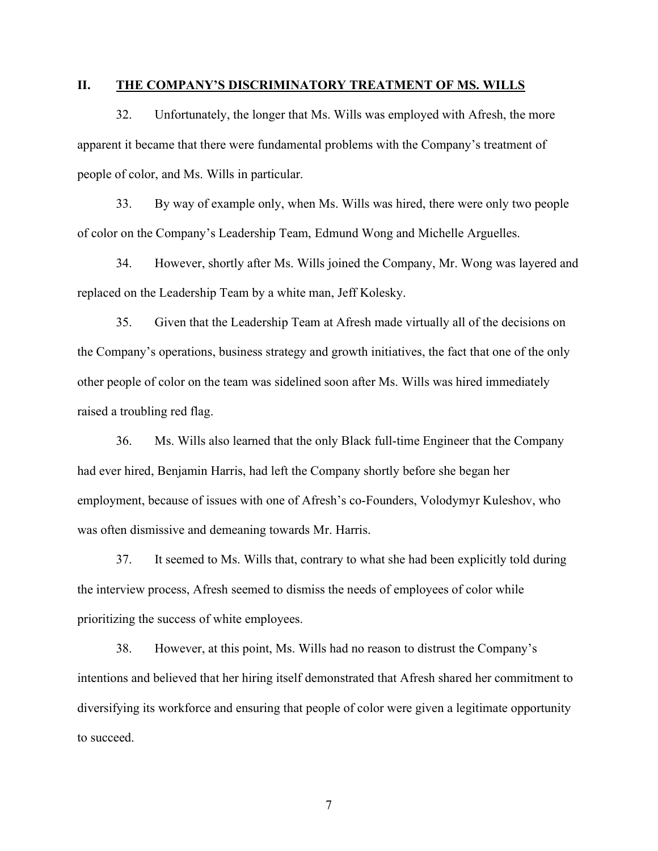### II. THE COMPANY'S DISCRIMINATORY TREATMENT OF MS. WILLS

32. Unfortunately, the longer that Ms. Wills was employed with Afresh, the more apparent it became that there were fundamental problems with the Company's treatment of people of color, and Ms. Wills in particular.

33. By way of example only, when Ms. Wills was hired, there were only two people of color on the Company's Leadership Team, Edmund Wong and Michelle Arguelles.

34. However, shortly after Ms. Wills joined the Company, Mr. Wong was layered and replaced on the Leadership Team by a white man, Jeff Kolesky.

35. Given that the Leadership Team at Afresh made virtually all of the decisions on the Company's operations, business strategy and growth initiatives, the fact that one of the only other people of color on the team was sidelined soon after Ms. Wills was hired immediately raised a troubling red flag.

36. Ms. Wills also learned that the only Black full-time Engineer that the Company had ever hired, Benjamin Harris, had left the Company shortly before she began her employment, because of issues with one of Afresh's co-Founders, Volodymyr Kuleshov, who was often dismissive and demeaning towards Mr. Harris.

37. It seemed to Ms. Wills that, contrary to what she had been explicitly told during the interview process, Afresh seemed to dismiss the needs of employees of color while prioritizing the success of white employees.

38. However, at this point, Ms. Wills had no reason to distrust the Company's intentions and believed that her hiring itself demonstrated that Afresh shared her commitment to diversifying its workforce and ensuring that people of color were given a legitimate opportunity to succeed.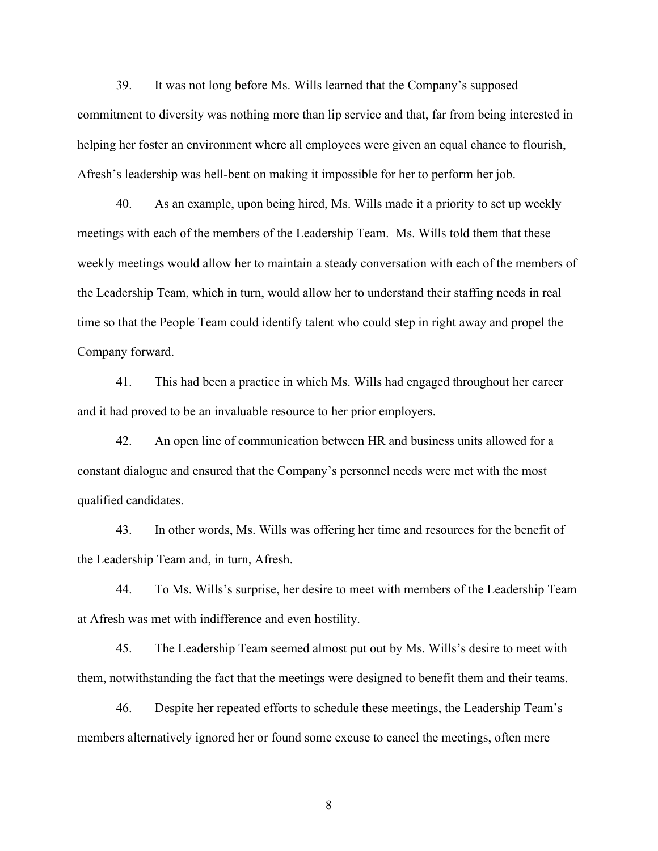39. It was not long before Ms. Wills learned that the Company's supposed commitment to diversity was nothing more than lip service and that, far from being interested in helping her foster an environment where all employees were given an equal chance to flourish, Afresh's leadership was hell-bent on making it impossible for her to perform her job.

40. As an example, upon being hired, Ms. Wills made it a priority to set up weekly meetings with each of the members of the Leadership Team. Ms. Wills told them that these weekly meetings would allow her to maintain a steady conversation with each of the members of the Leadership Team, which in turn, would allow her to understand their staffing needs in real time so that the People Team could identify talent who could step in right away and propel the Company forward.

41. This had been a practice in which Ms. Wills had engaged throughout her career and it had proved to be an invaluable resource to her prior employers.

42. An open line of communication between HR and business units allowed for a constant dialogue and ensured that the Company's personnel needs were met with the most qualified candidates.

43. In other words, Ms. Wills was offering her time and resources for the benefit of the Leadership Team and, in turn, Afresh.

44. To Ms. Wills's surprise, her desire to meet with members of the Leadership Team at Afresh was met with indifference and even hostility.

45. The Leadership Team seemed almost put out by Ms. Wills's desire to meet with them, notwithstanding the fact that the meetings were designed to benefit them and their teams.

46. Despite her repeated efforts to schedule these meetings, the Leadership Team's members alternatively ignored her or found some excuse to cancel the meetings, often mere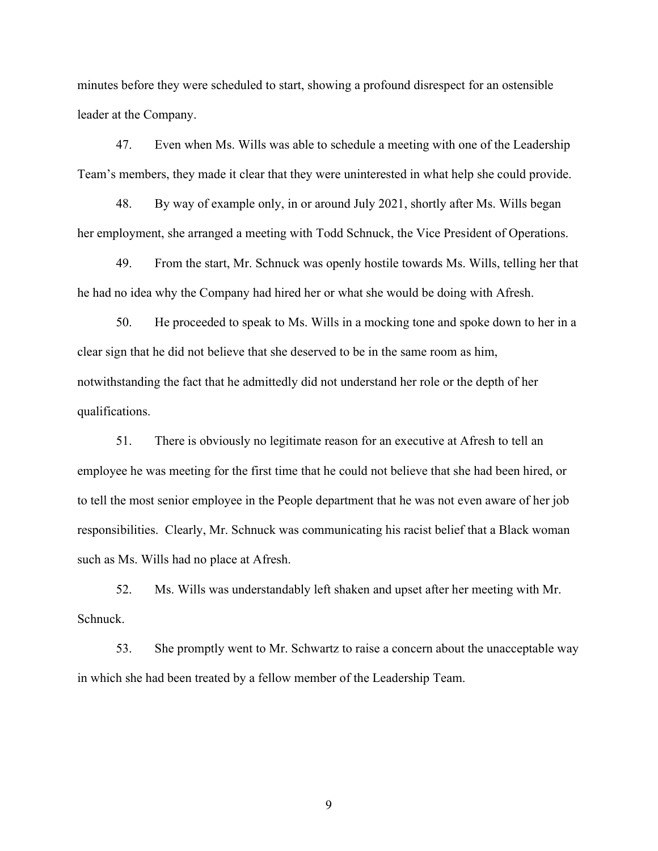minutes before they were scheduled to start, showing a profound disrespect for an ostensible leader at the Company.

47. Even when Ms. Wills was able to schedule a meeting with one of the Leadership Team's members, they made it clear that they were uninterested in what help she could provide.

48. By way of example only, in or around July 2021, shortly after Ms. Wills began her employment, she arranged a meeting with Todd Schnuck, the Vice President of Operations.

49. From the start, Mr. Schnuck was openly hostile towards Ms. Wills, telling her that he had no idea why the Company had hired her or what she would be doing with Afresh.

50. He proceeded to speak to Ms. Wills in a mocking tone and spoke down to her in a clear sign that he did not believe that she deserved to be in the same room as him, notwithstanding the fact that he admittedly did not understand her role or the depth of her qualifications.

51. There is obviously no legitimate reason for an executive at Afresh to tell an employee he was meeting for the first time that he could not believe that she had been hired, or to tell the most senior employee in the People department that he was not even aware of her job responsibilities. Clearly, Mr. Schnuck was communicating his racist belief that a Black woman such as Ms. Wills had no place at Afresh.

52. Ms. Wills was understandably left shaken and upset after her meeting with Mr. Schnuck.

53. She promptly went to Mr. Schwartz to raise a concern about the unacceptable way in which she had been treated by a fellow member of the Leadership Team.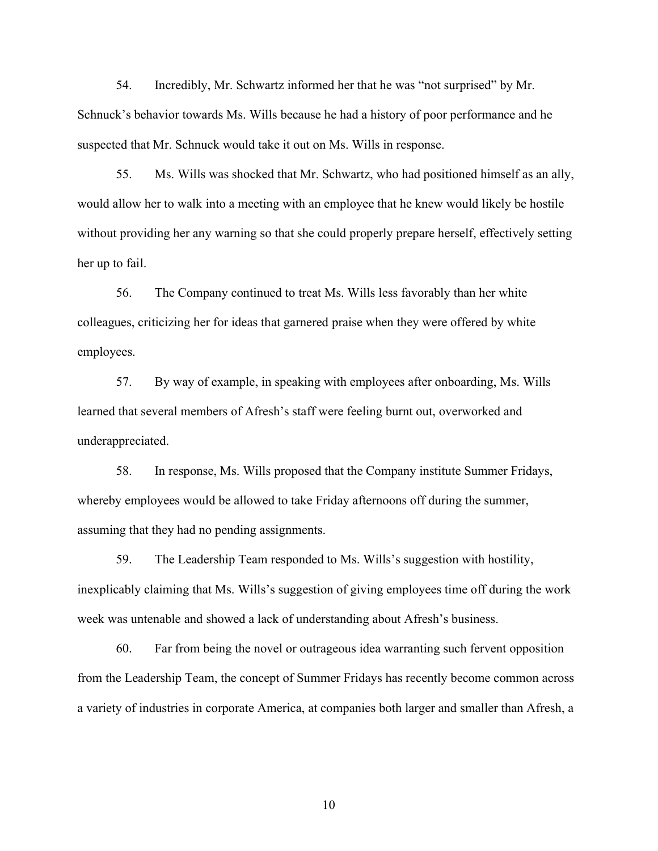54. Incredibly, Mr. Schwartz informed her that he was "not surprised" by Mr. Schnuck's behavior towards Ms. Wills because he had a history of poor performance and he suspected that Mr. Schnuck would take it out on Ms. Wills in response.

55. Ms. Wills was shocked that Mr. Schwartz, who had positioned himself as an ally, would allow her to walk into a meeting with an employee that he knew would likely be hostile without providing her any warning so that she could properly prepare herself, effectively setting her up to fail.

56. The Company continued to treat Ms. Wills less favorably than her white colleagues, criticizing her for ideas that garnered praise when they were offered by white employees.

57. By way of example, in speaking with employees after onboarding, Ms. Wills learned that several members of Afresh's staff were feeling burnt out, overworked and underappreciated.

58. In response, Ms. Wills proposed that the Company institute Summer Fridays, whereby employees would be allowed to take Friday afternoons off during the summer, assuming that they had no pending assignments.

59. The Leadership Team responded to Ms. Wills's suggestion with hostility, inexplicably claiming that Ms. Wills's suggestion of giving employees time off during the work week was untenable and showed a lack of understanding about Afresh's business.

60. Far from being the novel or outrageous idea warranting such fervent opposition from the Leadership Team, the concept of Summer Fridays has recently become common across a variety of industries in corporate America, at companies both larger and smaller than Afresh, a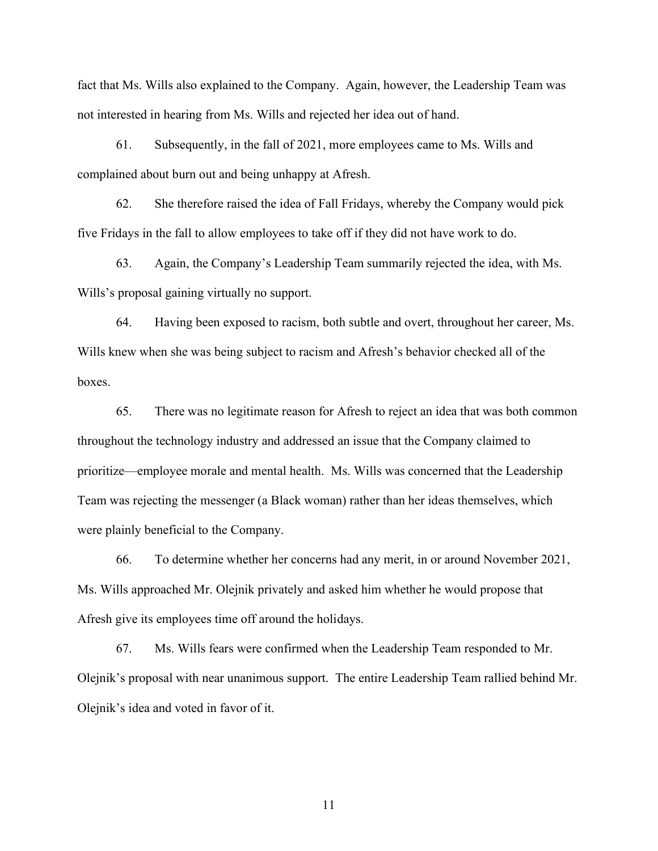fact that Ms. Wills also explained to the Company. Again, however, the Leadership Team was not interested in hearing from Ms. Wills and rejected her idea out of hand.

61. Subsequently, in the fall of 2021, more employees came to Ms. Wills and complained about burn out and being unhappy at Afresh.

62. She therefore raised the idea of Fall Fridays, whereby the Company would pick five Fridays in the fall to allow employees to take off if they did not have work to do.

63. Again, the Company's Leadership Team summarily rejected the idea, with Ms. Wills's proposal gaining virtually no support.

64. Having been exposed to racism, both subtle and overt, throughout her career, Ms. Wills knew when she was being subject to racism and Afresh's behavior checked all of the boxes.

65. There was no legitimate reason for Afresh to reject an idea that was both common throughout the technology industry and addressed an issue that the Company claimed to prioritize—employee morale and mental health. Ms. Wills was concerned that the Leadership Team was rejecting the messenger (a Black woman) rather than her ideas themselves, which were plainly beneficial to the Company.

66. To determine whether her concerns had any merit, in or around November 2021, Ms. Wills approached Mr. Olejnik privately and asked him whether he would propose that Afresh give its employees time off around the holidays.

67. Ms. Wills fears were confirmed when the Leadership Team responded to Mr. Olejnik's proposal with near unanimous support. The entire Leadership Team rallied behind Mr. Olejnik's idea and voted in favor of it.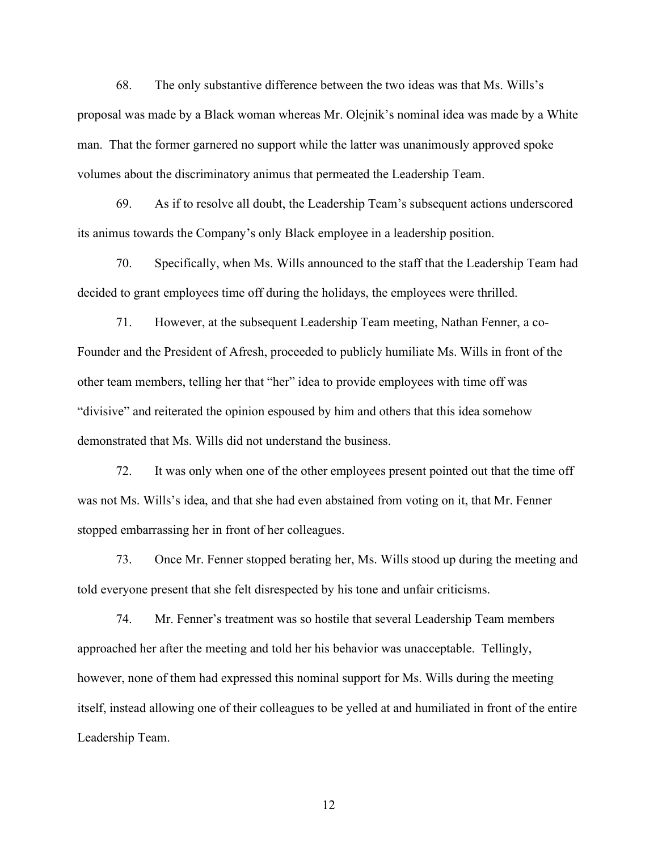68. The only substantive difference between the two ideas was that Ms. Wills's proposal was made by a Black woman whereas Mr. Olejnik's nominal idea was made by a White man. That the former garnered no support while the latter was unanimously approved spoke volumes about the discriminatory animus that permeated the Leadership Team.

69. As if to resolve all doubt, the Leadership Team's subsequent actions underscored its animus towards the Company's only Black employee in a leadership position.

70. Specifically, when Ms. Wills announced to the staff that the Leadership Team had decided to grant employees time off during the holidays, the employees were thrilled.

71. However, at the subsequent Leadership Team meeting, Nathan Fenner, a co-Founder and the President of Afresh, proceeded to publicly humiliate Ms. Wills in front of the other team members, telling her that "her" idea to provide employees with time off was "divisive" and reiterated the opinion espoused by him and others that this idea somehow demonstrated that Ms. Wills did not understand the business.

72. It was only when one of the other employees present pointed out that the time off was not Ms. Wills's idea, and that she had even abstained from voting on it, that Mr. Fenner stopped embarrassing her in front of her colleagues.

73. Once Mr. Fenner stopped berating her, Ms. Wills stood up during the meeting and told everyone present that she felt disrespected by his tone and unfair criticisms.

74. Mr. Fenner's treatment was so hostile that several Leadership Team members approached her after the meeting and told her his behavior was unacceptable. Tellingly, however, none of them had expressed this nominal support for Ms. Wills during the meeting itself, instead allowing one of their colleagues to be yelled at and humiliated in front of the entire Leadership Team.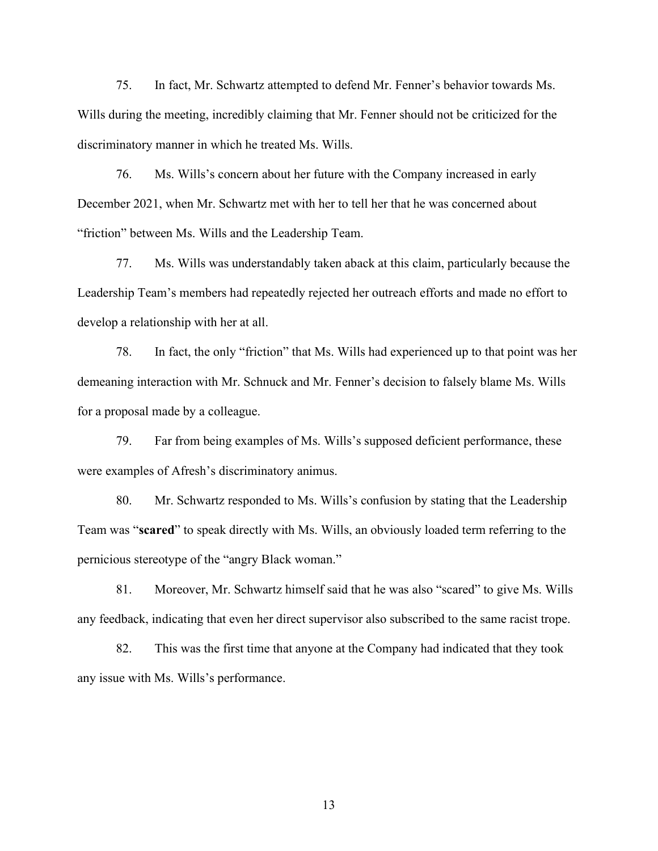75. In fact, Mr. Schwartz attempted to defend Mr. Fenner's behavior towards Ms. Wills during the meeting, incredibly claiming that Mr. Fenner should not be criticized for the discriminatory manner in which he treated Ms. Wills.

76. Ms. Wills's concern about her future with the Company increased in early December 2021, when Mr. Schwartz met with her to tell her that he was concerned about "friction" between Ms. Wills and the Leadership Team.

77. Ms. Wills was understandably taken aback at this claim, particularly because the Leadership Team's members had repeatedly rejected her outreach efforts and made no effort to develop a relationship with her at all.

78. In fact, the only "friction" that Ms. Wills had experienced up to that point was her demeaning interaction with Mr. Schnuck and Mr. Fenner's decision to falsely blame Ms. Wills for a proposal made by a colleague.

79. Far from being examples of Ms. Wills's supposed deficient performance, these were examples of Afresh's discriminatory animus.

80. Mr. Schwartz responded to Ms. Wills's confusion by stating that the Leadership Team was "scared" to speak directly with Ms. Wills, an obviously loaded term referring to the pernicious stereotype of the "angry Black woman."

81. Moreover, Mr. Schwartz himself said that he was also "scared" to give Ms. Wills any feedback, indicating that even her direct supervisor also subscribed to the same racist trope.

82. This was the first time that anyone at the Company had indicated that they took any issue with Ms. Wills's performance.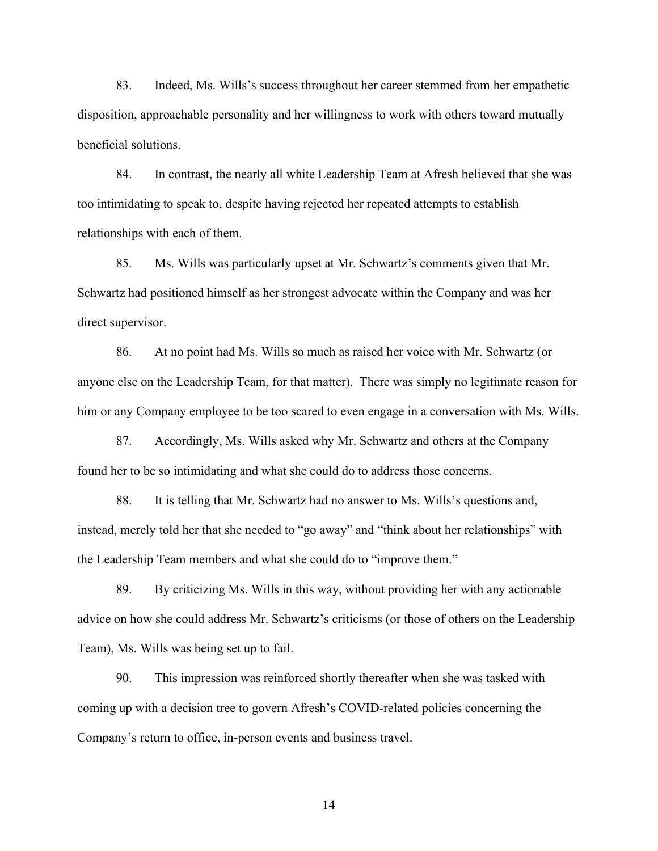83. Indeed, Ms. Wills's success throughout her career stemmed from her empathetic disposition, approachable personality and her willingness to work with others toward mutually beneficial solutions.

84. In contrast, the nearly all white Leadership Team at Afresh believed that she was too intimidating to speak to, despite having rejected her repeated attempts to establish relationships with each of them.

85. Ms. Wills was particularly upset at Mr. Schwartz's comments given that Mr. Schwartz had positioned himself as her strongest advocate within the Company and was her direct supervisor.

86. At no point had Ms. Wills so much as raised her voice with Mr. Schwartz (or anyone else on the Leadership Team, for that matter). There was simply no legitimate reason for him or any Company employee to be too scared to even engage in a conversation with Ms. Wills.

87. Accordingly, Ms. Wills asked why Mr. Schwartz and others at the Company found her to be so intimidating and what she could do to address those concerns.

88. It is telling that Mr. Schwartz had no answer to Ms. Wills's questions and, instead, merely told her that she needed to "go away" and "think about her relationships" with the Leadership Team members and what she could do to "improve them."

89. By criticizing Ms. Wills in this way, without providing her with any actionable advice on how she could address Mr. Schwartz's criticisms (or those of others on the Leadership Team), Ms. Wills was being set up to fail.

90. This impression was reinforced shortly thereafter when she was tasked with coming up with a decision tree to govern Afresh's COVID-related policies concerning the Company's return to office, in-person events and business travel.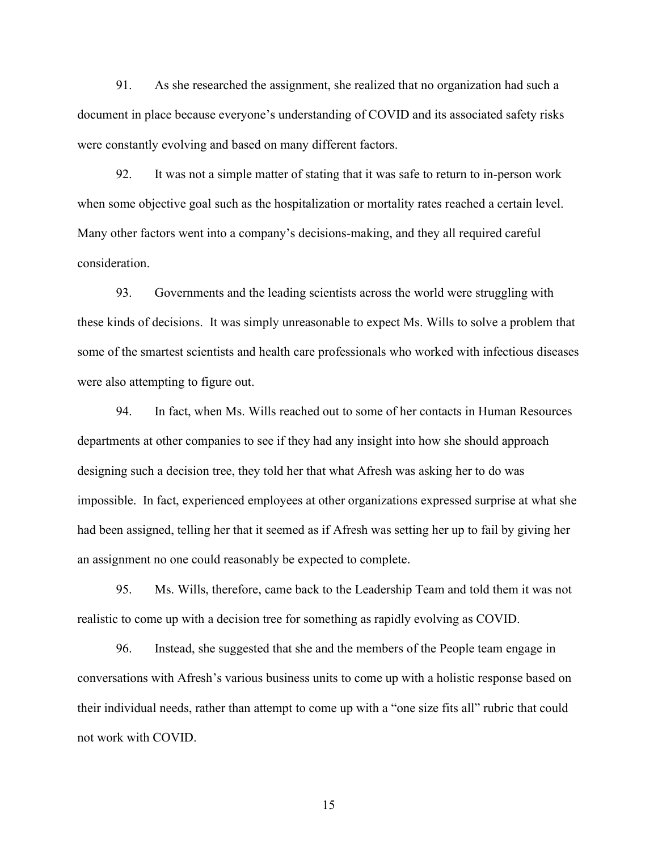91. As she researched the assignment, she realized that no organization had such a document in place because everyone's understanding of COVID and its associated safety risks were constantly evolving and based on many different factors.

92. It was not a simple matter of stating that it was safe to return to in-person work when some objective goal such as the hospitalization or mortality rates reached a certain level. Many other factors went into a company's decisions-making, and they all required careful consideration.

93. Governments and the leading scientists across the world were struggling with these kinds of decisions. It was simply unreasonable to expect Ms. Wills to solve a problem that some of the smartest scientists and health care professionals who worked with infectious diseases were also attempting to figure out.

94. In fact, when Ms. Wills reached out to some of her contacts in Human Resources departments at other companies to see if they had any insight into how she should approach designing such a decision tree, they told her that what Afresh was asking her to do was impossible. In fact, experienced employees at other organizations expressed surprise at what she had been assigned, telling her that it seemed as if Afresh was setting her up to fail by giving her an assignment no one could reasonably be expected to complete.

95. Ms. Wills, therefore, came back to the Leadership Team and told them it was not realistic to come up with a decision tree for something as rapidly evolving as COVID.

96. Instead, she suggested that she and the members of the People team engage in conversations with Afresh's various business units to come up with a holistic response based on their individual needs, rather than attempt to come up with a "one size fits all" rubric that could not work with COVID.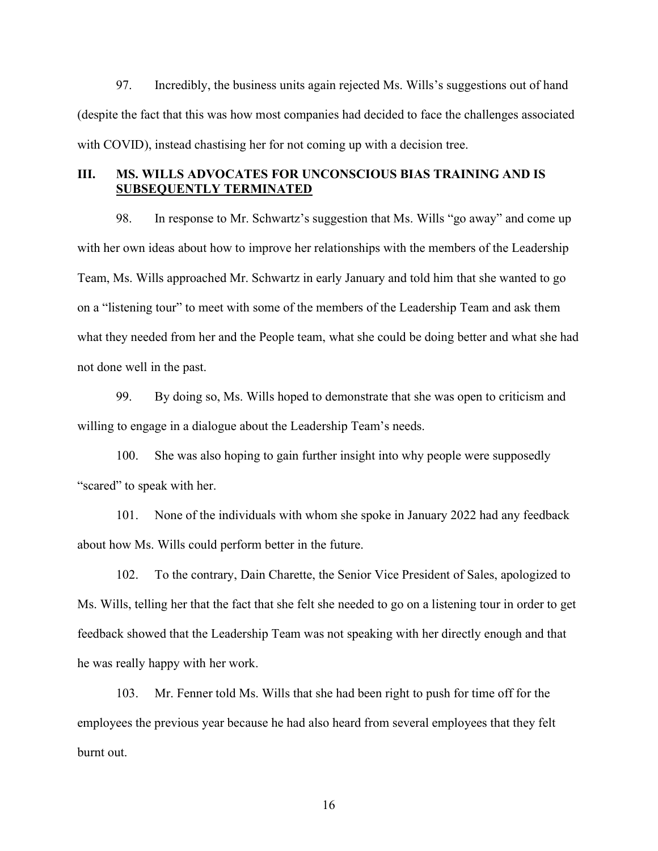97. Incredibly, the business units again rejected Ms. Wills's suggestions out of hand (despite the fact that this was how most companies had decided to face the challenges associated with COVID), instead chastising her for not coming up with a decision tree.

# III. MS. WILLS ADVOCATES FOR UNCONSCIOUS BIAS TRAINING AND IS SUBSEQUENTLY TERMINATED

98. In response to Mr. Schwartz's suggestion that Ms. Wills "go away" and come up with her own ideas about how to improve her relationships with the members of the Leadership Team, Ms. Wills approached Mr. Schwartz in early January and told him that she wanted to go on a "listening tour" to meet with some of the members of the Leadership Team and ask them what they needed from her and the People team, what she could be doing better and what she had not done well in the past.

99. By doing so, Ms. Wills hoped to demonstrate that she was open to criticism and willing to engage in a dialogue about the Leadership Team's needs.

100. She was also hoping to gain further insight into why people were supposedly "scared" to speak with her.

101. None of the individuals with whom she spoke in January 2022 had any feedback about how Ms. Wills could perform better in the future.

102. To the contrary, Dain Charette, the Senior Vice President of Sales, apologized to Ms. Wills, telling her that the fact that she felt she needed to go on a listening tour in order to get feedback showed that the Leadership Team was not speaking with her directly enough and that he was really happy with her work.

103. Mr. Fenner told Ms. Wills that she had been right to push for time off for the employees the previous year because he had also heard from several employees that they felt burnt out.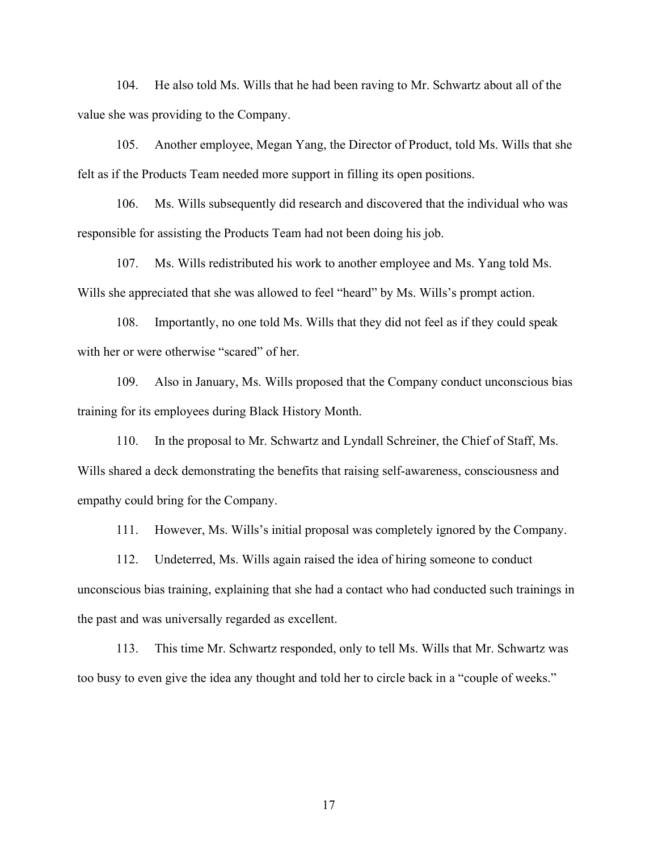104. He also told Ms. Wills that he had been raving to Mr. Schwartz about all of the value she was providing to the Company.

105. Another employee, Megan Yang, the Director of Product, told Ms. Wills that she felt as if the Products Team needed more support in filling its open positions.

106. Ms. Wills subsequently did research and discovered that the individual who was responsible for assisting the Products Team had not been doing his job.

107. Ms. Wills redistributed his work to another employee and Ms. Yang told Ms. Wills she appreciated that she was allowed to feel "heard" by Ms. Wills's prompt action.

108. Importantly, no one told Ms. Wills that they did not feel as if they could speak with her or were otherwise "scared" of her.

109. Also in January, Ms. Wills proposed that the Company conduct unconscious bias training for its employees during Black History Month.

110. In the proposal to Mr. Schwartz and Lyndall Schreiner, the Chief of Staff, Ms. Wills shared a deck demonstrating the benefits that raising self-awareness, consciousness and empathy could bring for the Company.

111. However, Ms. Wills's initial proposal was completely ignored by the Company.

112. Undeterred, Ms. Wills again raised the idea of hiring someone to conduct unconscious bias training, explaining that she had a contact who had conducted such trainings in the past and was universally regarded as excellent.

113. This time Mr. Schwartz responded, only to tell Ms. Wills that Mr. Schwartz was too busy to even give the idea any thought and told her to circle back in a "couple of weeks."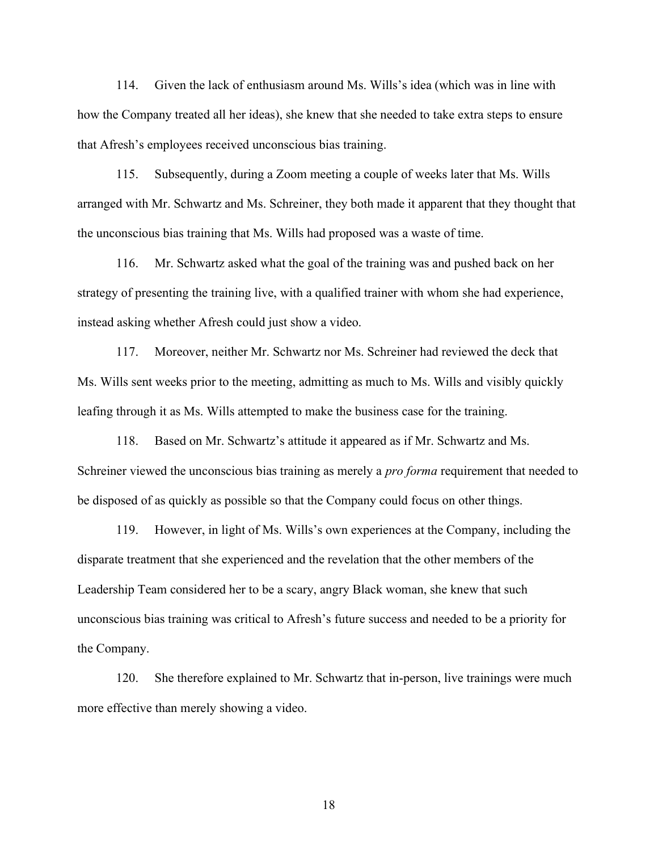114. Given the lack of enthusiasm around Ms. Wills's idea (which was in line with how the Company treated all her ideas), she knew that she needed to take extra steps to ensure that Afresh's employees received unconscious bias training.

115. Subsequently, during a Zoom meeting a couple of weeks later that Ms. Wills arranged with Mr. Schwartz and Ms. Schreiner, they both made it apparent that they thought that the unconscious bias training that Ms. Wills had proposed was a waste of time.

116. Mr. Schwartz asked what the goal of the training was and pushed back on her strategy of presenting the training live, with a qualified trainer with whom she had experience, instead asking whether Afresh could just show a video.

117. Moreover, neither Mr. Schwartz nor Ms. Schreiner had reviewed the deck that Ms. Wills sent weeks prior to the meeting, admitting as much to Ms. Wills and visibly quickly leafing through it as Ms. Wills attempted to make the business case for the training.

118. Based on Mr. Schwartz's attitude it appeared as if Mr. Schwartz and Ms. Schreiner viewed the unconscious bias training as merely a *pro forma* requirement that needed to be disposed of as quickly as possible so that the Company could focus on other things.

119. However, in light of Ms. Wills's own experiences at the Company, including the disparate treatment that she experienced and the revelation that the other members of the Leadership Team considered her to be a scary, angry Black woman, she knew that such unconscious bias training was critical to Afresh's future success and needed to be a priority for the Company.

120. She therefore explained to Mr. Schwartz that in-person, live trainings were much more effective than merely showing a video.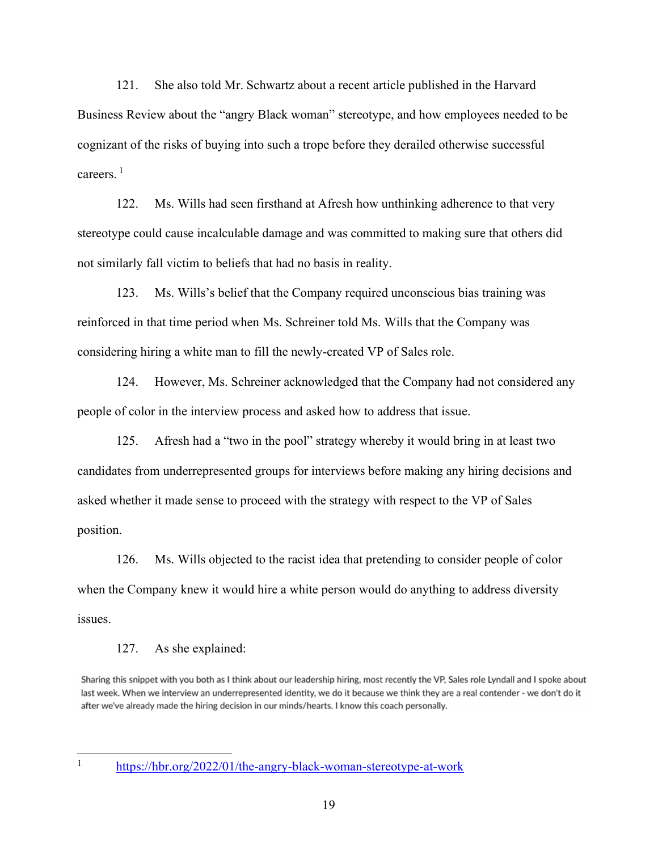121. She also told Mr. Schwartz about a recent article published in the Harvard Business Review about the "angry Black woman" stereotype, and how employees needed to be cognizant of the risks of buying into such a trope before they derailed otherwise successful careers. $<sup>1</sup>$ </sup>

122. Ms. Wills had seen firsthand at Afresh how unthinking adherence to that very stereotype could cause incalculable damage and was committed to making sure that others did not similarly fall victim to beliefs that had no basis in reality.

123. Ms. Wills's belief that the Company required unconscious bias training was reinforced in that time period when Ms. Schreiner told Ms. Wills that the Company was considering hiring a white man to fill the newly-created VP of Sales role.

124. However, Ms. Schreiner acknowledged that the Company had not considered any people of color in the interview process and asked how to address that issue.

125. Afresh had a "two in the pool" strategy whereby it would bring in at least two candidates from underrepresented groups for interviews before making any hiring decisions and asked whether it made sense to proceed with the strategy with respect to the VP of Sales position.

126. Ms. Wills objected to the racist idea that pretending to consider people of color when the Company knew it would hire a white person would do anything to address diversity issues.

#### 127. As she explained:

Sharing this snippet with you both as I think about our leadership hiring, most recently the VP, Sales role Lyndall and I spoke about last week. When we interview an underrepresented identity, we do it because we think they are a real contender - we don't do it after we've already made the hiring decision in our minds/hearts. I know this coach personally.

https://hbr.org/2022/01/the-angry-black-woman-stereotype-at-work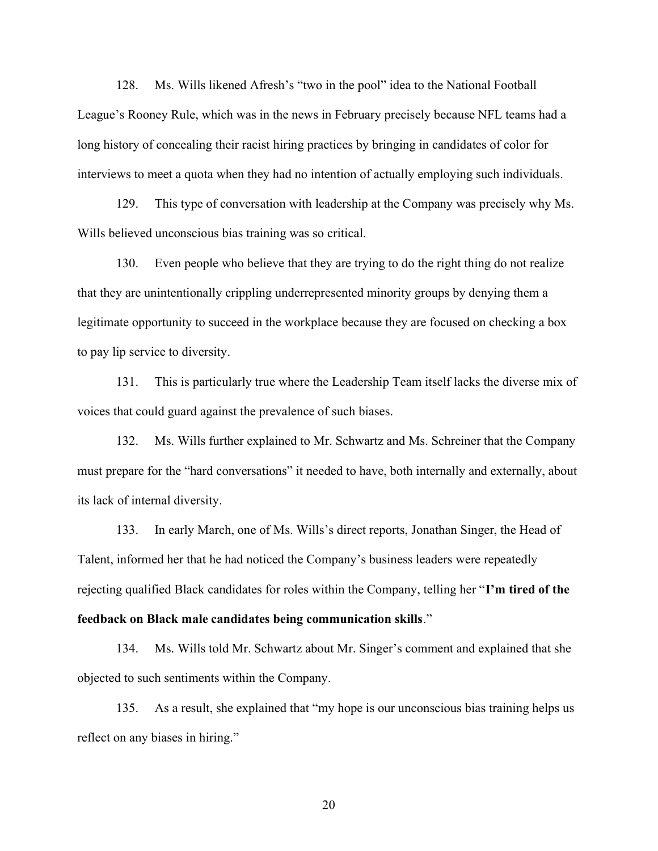128. Ms. Wills likened Afresh's "two in the pool" idea to the National Football League's Rooney Rule, which was in the news in February precisely because NFL teams had a long history of concealing their racist hiring practices by bringing in candidates of color for interviews to meet a quota when they had no intention of actually employing such individuals.

129. This type of conversation with leadership at the Company was precisely why Ms. Wills believed unconscious bias training was so critical.

130. Even people who believe that they are trying to do the right thing do not realize that they are unintentionally crippling underrepresented minority groups by denying them a legitimate opportunity to succeed in the workplace because they are focused on checking a box to pay lip service to diversity.

131. This is particularly true where the Leadership Team itself lacks the diverse mix of voices that could guard against the prevalence of such biases.

132. Ms. Wills further explained to Mr. Schwartz and Ms. Schreiner that the Company must prepare for the "hard conversations" it needed to have, both internally and externally, about its lack of internal diversity.

133. In early March, one of Ms. Wills's direct reports, Jonathan Singer, the Head of Talent, informed her that he had noticed the Company's business leaders were repeatedly rejecting qualified Black candidates for roles within the Company, telling her "I'm tired of the feedback on Black male candidates being communication skills."

134. Ms. Wills told Mr. Schwartz about Mr. Singer's comment and explained that she objected to such sentiments within the Company.

135. As a result, she explained that "my hope is our unconscious bias training helps us reflect on any biases in hiring."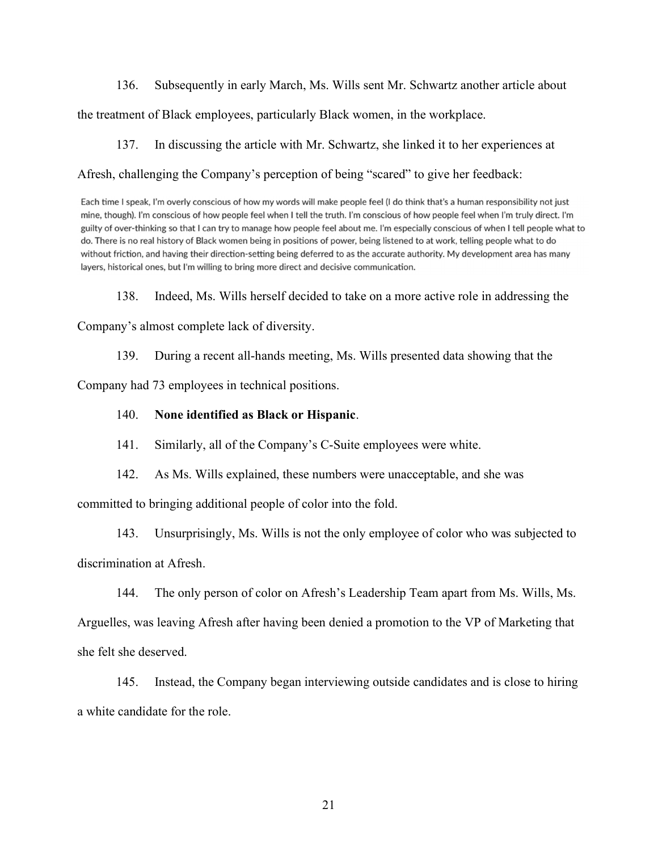136. Subsequently in early March, Ms. Wills sent Mr. Schwartz another article about

the treatment of Black employees, particularly Black women, in the workplace.

137. In discussing the article with Mr. Schwartz, she linked it to her experiences at

Afresh, challenging the Company's perception of being "scared" to give her feedback:

Each time I speak, I'm overly conscious of how my words will make people feel (I do think that's a human responsibility not just mine, though). I'm conscious of how people feel when I tell the truth. I'm conscious of how people feel when I'm truly direct. I'm guilty of over-thinking so that I can try to manage how people feel about me. I'm especially conscious of when I tell people what to do. There is no real history of Black women being in positions of power, being listened to at work, telling people what to do without friction, and having their direction-setting being deferred to as the accurate authority. My development area has many layers, historical ones, but I'm willing to bring more direct and decisive communication.

138. Indeed, Ms. Wills herself decided to take on a more active role in addressing the

Company's almost complete lack of diversity.

139. During a recent all-hands meeting, Ms. Wills presented data showing that the

Company had 73 employees in technical positions.

# 140. None identified as Black or Hispanic.

141. Similarly, all of the Company's C-Suite employees were white.

142. As Ms. Wills explained, these numbers were unacceptable, and she was

committed to bringing additional people of color into the fold.

143. Unsurprisingly, Ms. Wills is not the only employee of color who was subjected to discrimination at Afresh.

144. The only person of color on Afresh's Leadership Team apart from Ms. Wills, Ms.

Arguelles, was leaving Afresh after having been denied a promotion to the VP of Marketing that she felt she deserved.

145. Instead, the Company began interviewing outside candidates and is close to hiring a white candidate for the role.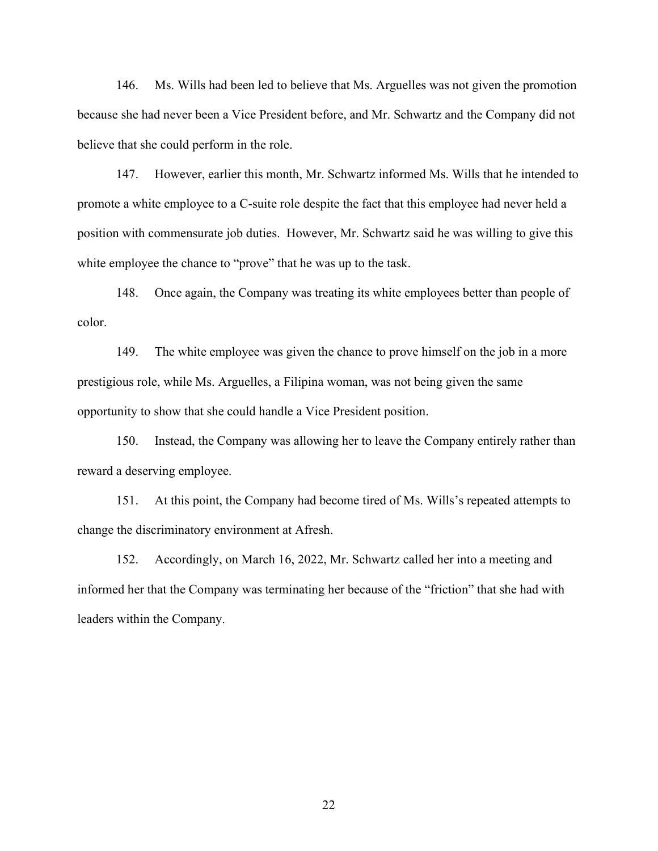146. Ms. Wills had been led to believe that Ms. Arguelles was not given the promotion because she had never been a Vice President before, and Mr. Schwartz and the Company did not believe that she could perform in the role.

147. However, earlier this month, Mr. Schwartz informed Ms. Wills that he intended to promote a white employee to a C-suite role despite the fact that this employee had never held a position with commensurate job duties. However, Mr. Schwartz said he was willing to give this white employee the chance to "prove" that he was up to the task.

148. Once again, the Company was treating its white employees better than people of color.

149. The white employee was given the chance to prove himself on the job in a more prestigious role, while Ms. Arguelles, a Filipina woman, was not being given the same opportunity to show that she could handle a Vice President position.

150. Instead, the Company was allowing her to leave the Company entirely rather than reward a deserving employee.

151. At this point, the Company had become tired of Ms. Wills's repeated attempts to change the discriminatory environment at Afresh.

152. Accordingly, on March 16, 2022, Mr. Schwartz called her into a meeting and informed her that the Company was terminating her because of the "friction" that she had with leaders within the Company.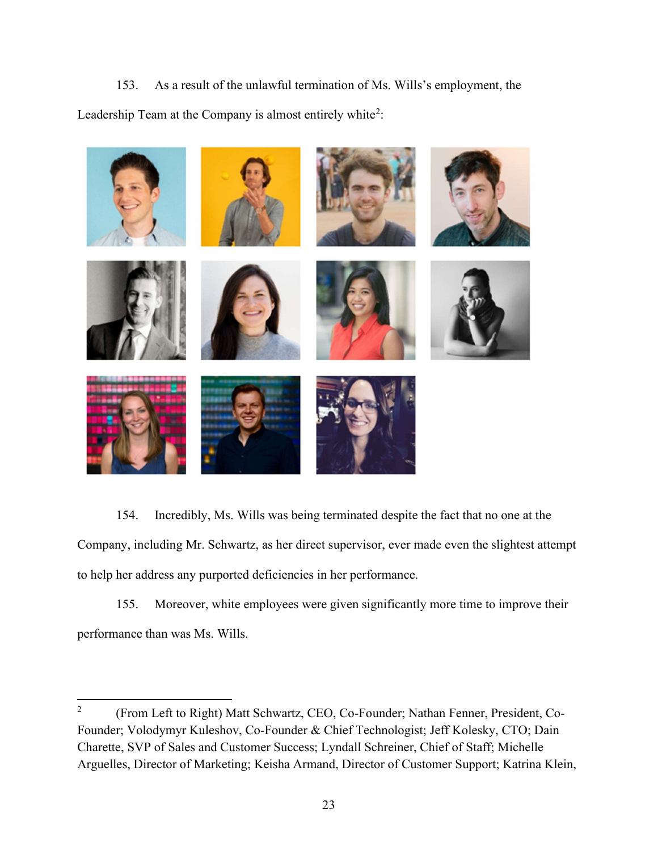153. As a result of the unlawful termination of Ms. Wills's employment, the Leadership Team at the Company is almost entirely white<sup>2</sup>:



154. Incredibly, Ms. Wills was being terminated despite the fact that no one at the Company, including Mr. Schwartz, as her direct supervisor, ever made even the slightest attempt to help her address any purported deficiencies in her performance.

155. Moreover, white employees were given significantly more time to improve their performance than was Ms. Wills.

<sup>2</sup> (From Left to Right) Matt Schwartz, CEO, Co-Founder; Nathan Fenner, President, Co-Founder; Volodymyr Kuleshov, Co-Founder & Chief Technologist; Jeff Kolesky, CTO; Dain Charette, SVP of Sales and Customer Success; Lyndall Schreiner, Chief of Staff; Michelle Arguelles, Director of Marketing; Keisha Armand, Director of Customer Support; Katrina Klein,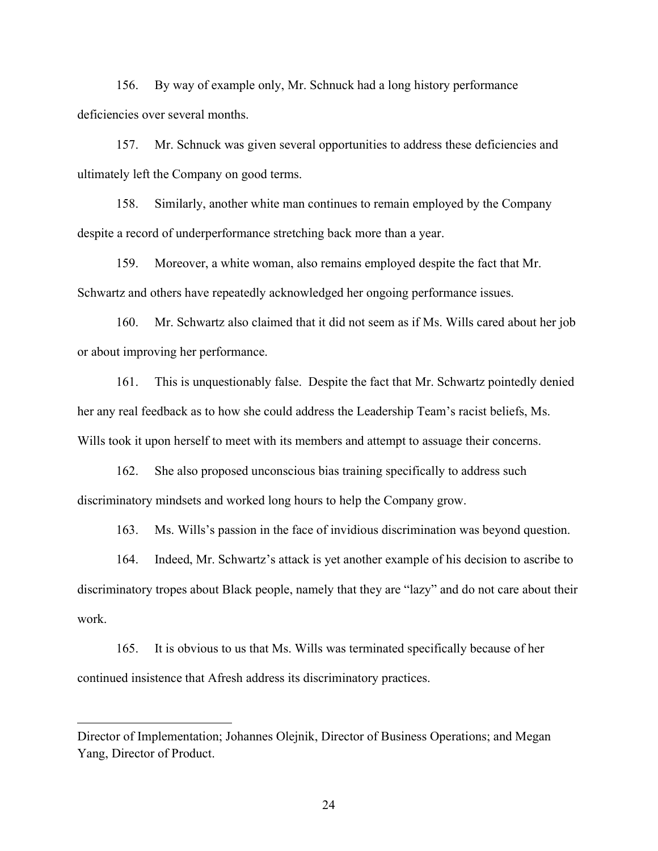156. By way of example only, Mr. Schnuck had a long history performance deficiencies over several months.

157. Mr. Schnuck was given several opportunities to address these deficiencies and ultimately left the Company on good terms.

158. Similarly, another white man continues to remain employed by the Company despite a record of underperformance stretching back more than a year.

159. Moreover, a white woman, also remains employed despite the fact that Mr. Schwartz and others have repeatedly acknowledged her ongoing performance issues.

160. Mr. Schwartz also claimed that it did not seem as if Ms. Wills cared about her job or about improving her performance.

161. This is unquestionably false. Despite the fact that Mr. Schwartz pointedly denied her any real feedback as to how she could address the Leadership Team's racist beliefs, Ms. Wills took it upon herself to meet with its members and attempt to assuage their concerns.

162. She also proposed unconscious bias training specifically to address such discriminatory mindsets and worked long hours to help the Company grow.

163. Ms. Wills's passion in the face of invidious discrimination was beyond question.

164. Indeed, Mr. Schwartz's attack is yet another example of his decision to ascribe to discriminatory tropes about Black people, namely that they are "lazy" and do not care about their work.

165. It is obvious to us that Ms. Wills was terminated specifically because of her continued insistence that Afresh address its discriminatory practices.

Director of Implementation; Johannes Olejnik, Director of Business Operations; and Megan Yang, Director of Product.